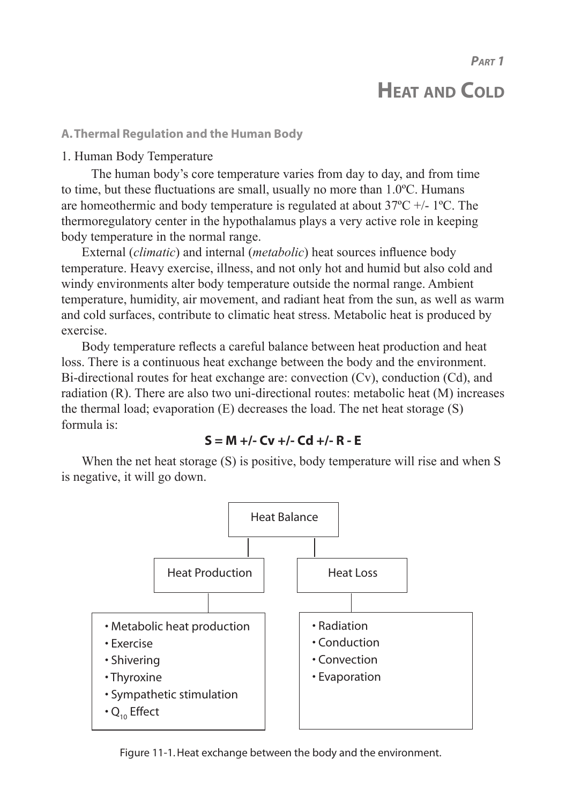*PART 1*

# **HEAT AND COLD**

#### **A. Thermal Regulation and the Human Body**

## 1. Human Body Temperature

 The human body's core temperature varies from day to day, and from time to time, but these fluctuations are small, usually no more than 1.0ºC. Humans are homeothermic and body temperature is regulated at about  $37^{\circ}$ C +/- 1<sup>o</sup>C. The thermoregulatory center in the hypothalamus plays a very active role in keeping body temperature in the normal range.

External (*climatic*) and internal (*metabolic*) heat sources influence body temperature. Heavy exercise, illness, and not only hot and humid but also cold and windy environments alter body temperature outside the normal range. Ambient temperature, humidity, air movement, and radiant heat from the sun, as well as warm and cold surfaces, contribute to climatic heat stress. Metabolic heat is produced by exercise.

Body temperature reflects a careful balance between heat production and heat loss. There is a continuous heat exchange between the body and the environment. Bi-directional routes for heat exchange are: convection (Cv), conduction (Cd), and radiation (R). There are also two uni-directional routes: metabolic heat (M) increases the thermal load; evaporation (E) decreases the load. The net heat storage (S) formula is:

## **S = M +/- Cv +/- Cd +/- R - E**

When the net heat storage (S) is positive, body temperature will rise and when S is negative, it will go down.



Figure 11-1. Heat exchange between the body and the environment.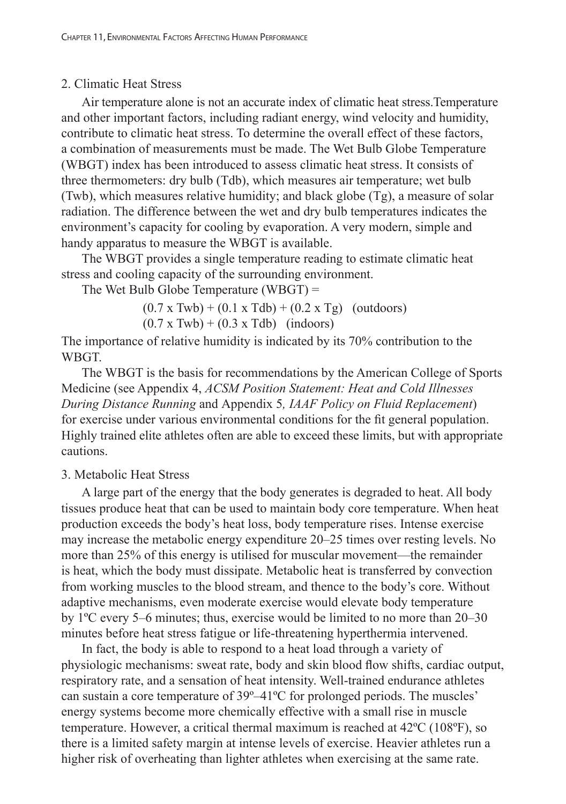## 2. Climatic Heat Stress

Air temperature alone is not an accurate index of climatic heat stress.Temperature and other important factors, including radiant energy, wind velocity and humidity, contribute to climatic heat stress. To determine the overall effect of these factors, a combination of measurements must be made. The Wet Bulb Globe Temperature (WBGT) index has been introduced to assess climatic heat stress. It consists of three thermometers: dry bulb (Tdb), which measures air temperature; wet bulb (Twb), which measures relative humidity; and black globe (Tg), a measure of solar radiation. The difference between the wet and dry bulb temperatures indicates the environment's capacity for cooling by evaporation. A very modern, simple and handy apparatus to measure the WBGT is available.

The WBGT provides a single temperature reading to estimate climatic heat stress and cooling capacity of the surrounding environment.

The Wet Bulb Globe Temperature (WBGT) =

 $(0.7 \times \text{Twb}) + (0.1 \times \text{Tdb}) + (0.2 \times \text{Tg})$  (outdoors)

 $(0.7 \times \text{Twb}) + (0.3 \times \text{Tdb})$  (indoors)

The importance of relative humidity is indicated by its 70% contribution to the WBGT.

The WBGT is the basis for recommendations by the American College of Sports Medicine (see Appendix 4, *ACSM Position Statement: Heat and Cold Illnesses During Distance Running* and Appendix 5*, IAAF Policy on Fluid Replacement*) for exercise under various environmental conditions for the fit general population. Highly trained elite athletes often are able to exceed these limits, but with appropriate cautions.

## 3. Metabolic Heat Stress

A large part of the energy that the body generates is degraded to heat. All body tissues produce heat that can be used to maintain body core temperature. When heat production exceeds the body's heat loss, body temperature rises. Intense exercise may increase the metabolic energy expenditure 20–25 times over resting levels. No more than 25% of this energy is utilised for muscular movement—the remainder is heat, which the body must dissipate. Metabolic heat is transferred by convection from working muscles to the blood stream, and thence to the body's core. Without adaptive mechanisms, even moderate exercise would elevate body temperature by 1ºC every 5–6 minutes; thus, exercise would be limited to no more than 20–30 minutes before heat stress fatigue or life-threatening hyperthermia intervened.

In fact, the body is able to respond to a heat load through a variety of physiologic mechanisms: sweat rate, body and skin blood flow shifts, cardiac output, respiratory rate, and a sensation of heat intensity. Well-trained endurance athletes can sustain a core temperature of 39º–41ºC for prolonged periods. The muscles' energy systems become more chemically effective with a small rise in muscle temperature. However, a critical thermal maximum is reached at 42ºC (108ºF), so there is a limited safety margin at intense levels of exercise. Heavier athletes run a higher risk of overheating than lighter athletes when exercising at the same rate.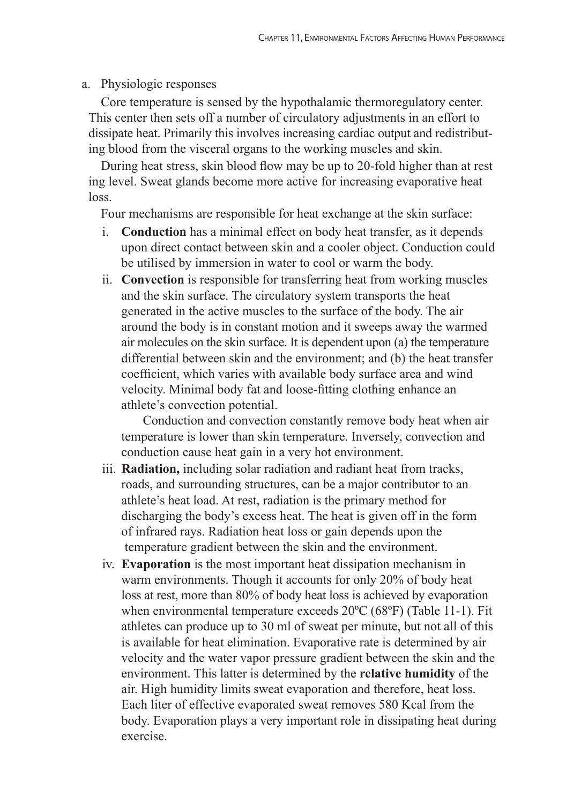#### a. Physiologic responses

 Core temperature is sensed by the hypothalamic thermoregulatory center. This center then sets off a number of circulatory adjustments in an effort to dissipate heat. Primarily this involves increasing cardiac output and redistribut ing blood from the visceral organs to the working muscles and skin.

 During heat stress, skin blood flow may be up to 20-fold higher than at rest ing level. Sweat glands become more active for increasing evaporative heat loss.

Four mechanisms are responsible for heat exchange at the skin surface:

- i. **Conduction** has a minimal effect on body heat transfer, as it depends upon direct contact between skin and a cooler object. Conduction could be utilised by immersion in water to cool or warm the body.
- ii. **Convection** is responsible for transferring heat from working muscles and the skin surface. The circulatory system transports the heat generated in the active muscles to the surface of the body. The air around the body is in constant motion and it sweeps away the warmed air molecules on the skin surface. It is dependent upon (a) the temperature differential between skin and the environment; and (b) the heat transfer coefficient, which varies with available body surface area and wind velocity. Minimal body fat and loose-fitting clothing enhance an athlete's convection potential.

 Conduction and convection constantly remove body heat when air temperature is lower than skin temperature. Inversely, convection and conduction cause heat gain in a very hot environment.

- iii. **Radiation,** including solar radiation and radiant heat from tracks, roads, and surrounding structures, can be a major contributor to an athlete's heat load. At rest, radiation is the primary method for discharging the body's excess heat. The heat is given off in the form of infrared rays. Radiation heat loss or gain depends upon the temperature gradient between the skin and the environment.
- iv. **Evaporation** is the most important heat dissipation mechanism in warm environments. Though it accounts for only 20% of body heat loss at rest, more than 80% of body heat loss is achieved by evaporation when environmental temperature exceeds 20ºC (68ºF) (Table 11-1). Fit athletes can produce up to 30 ml of sweat per minute, but not all of this is available for heat elimination. Evaporative rate is determined by air velocity and the water vapor pressure gradient between the skin and the environment. This latter is determined by the **relative humidity** of the air. High humidity limits sweat evaporation and therefore, heat loss. Each liter of effective evaporated sweat removes 580 Kcal from the body. Evaporation plays a very important role in dissipating heat during exercise.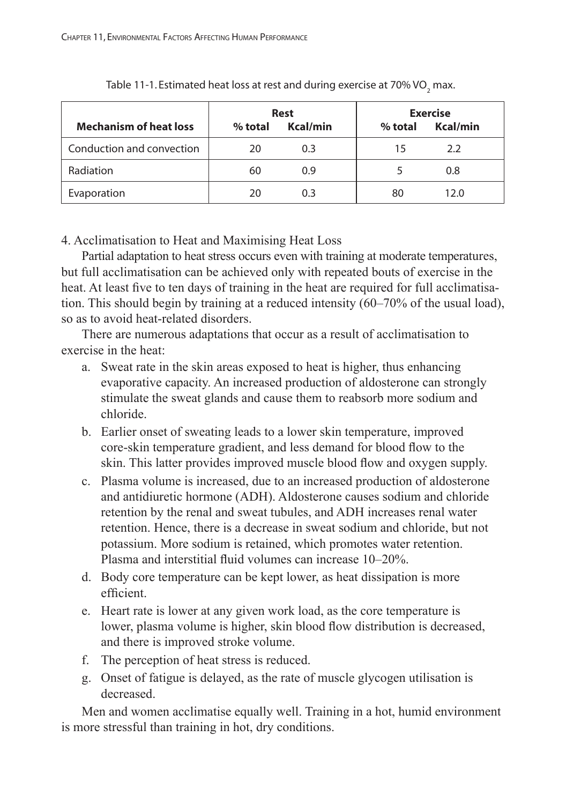| <b>Mechanism of heat loss</b> | $%$ total | <b>Rest</b><br>Kcal/min | $%$ total | <b>Exercise</b><br>Kcal/min |
|-------------------------------|-----------|-------------------------|-----------|-----------------------------|
| Conduction and convection     | 20        | 0.3                     | 15        | 2.2                         |
| Radiation                     | 60        | 0.9                     |           | 0.8                         |
| Evaporation                   | 20        | 0.3                     | 80        | 12.0                        |

Table 11-1. Estimated heat loss at rest and during exercise at 70% VO<sub>2</sub> max.

4. Acclimatisation to Heat and Maximising Heat Loss

Partial adaptation to heat stress occurs even with training at moderate temperatures, but full acclimatisation can be achieved only with repeated bouts of exercise in the heat. At least five to ten days of training in the heat are required for full acclimatisation. This should begin by training at a reduced intensity (60–70% of the usual load), so as to avoid heat-related disorders.

There are numerous adaptations that occur as a result of acclimatisation to exercise in the heat:

- a. Sweat rate in the skin areas exposed to heat is higher, thus enhancing evaporative capacity. An increased production of aldosterone can strongly stimulate the sweat glands and cause them to reabsorb more sodium and chloride.
- b. Earlier onset of sweating leads to a lower skin temperature, improved core-skin temperature gradient, and less demand for blood flow to the skin. This latter provides improved muscle blood flow and oxygen supply.
- c. Plasma volume is increased, due to an increased production of aldosterone and antidiuretic hormone (ADH). Aldosterone causes sodium and chloride retention by the renal and sweat tubules, and ADH increases renal water retention. Hence, there is a decrease in sweat sodium and chloride, but not potassium. More sodium is retained, which promotes water retention. Plasma and interstitial fluid volumes can increase 10–20%.
- d. Body core temperature can be kept lower, as heat dissipation is more efficient.
- e. Heart rate is lower at any given work load, as the core temperature is lower, plasma volume is higher, skin blood flow distribution is decreased, and there is improved stroke volume.
- f. The perception of heat stress is reduced.
- g. Onset of fatigue is delayed, as the rate of muscle glycogen utilisation is decreased.

Men and women acclimatise equally well. Training in a hot, humid environment is more stressful than training in hot, dry conditions.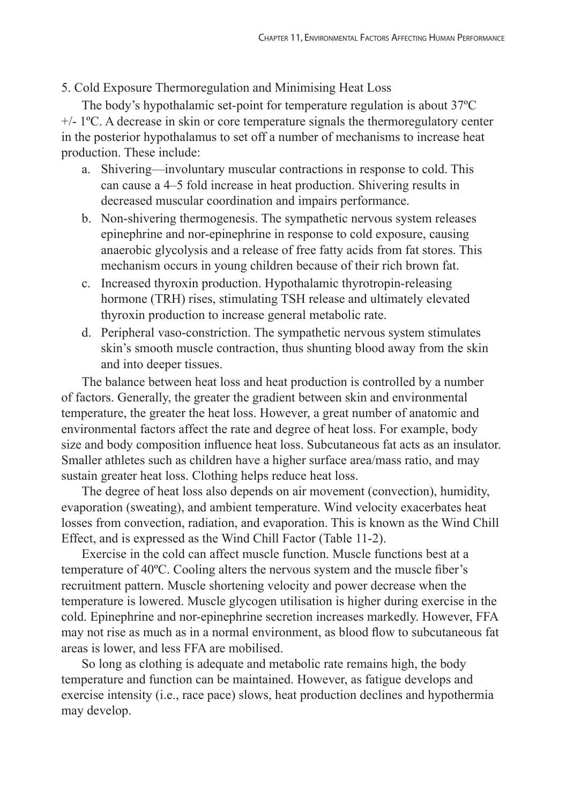## 5. Cold Exposure Thermoregulation and Minimising Heat Loss

The body's hypothalamic set-point for temperature regulation is about 37ºC  $+/- 1$ <sup>o</sup>C. A decrease in skin or core temperature signals the thermoregulatory center in the posterior hypothalamus to set off a number of mechanisms to increase heat production. These include:

- a. Shivering—involuntary muscular contractions in response to cold. This can cause a 4–5 fold increase in heat production. Shivering results in decreased muscular coordination and impairs performance.
- b. Non-shivering thermogenesis. The sympathetic nervous system releases epinephrine and nor-epinephrine in response to cold exposure, causing anaerobic glycolysis and a release of free fatty acids from fat stores. This mechanism occurs in young children because of their rich brown fat.
- c. Increased thyroxin production. Hypothalamic thyrotropin-releasing hormone (TRH) rises, stimulating TSH release and ultimately elevated thyroxin production to increase general metabolic rate.
- d. Peripheral vaso-constriction. The sympathetic nervous system stimulates skin's smooth muscle contraction, thus shunting blood away from the skin and into deeper tissues.

The balance between heat loss and heat production is controlled by a number of factors. Generally, the greater the gradient between skin and environmental temperature, the greater the heat loss. However, a great number of anatomic and environmental factors affect the rate and degree of heat loss. For example, body size and body composition influence heat loss. Subcutaneous fat acts as an insulator. Smaller athletes such as children have a higher surface area/mass ratio, and may sustain greater heat loss. Clothing helps reduce heat loss.

The degree of heat loss also depends on air movement (convection), humidity, evaporation (sweating), and ambient temperature. Wind velocity exacerbates heat losses from convection, radiation, and evaporation. This is known as the Wind Chill Effect, and is expressed as the Wind Chill Factor (Table 11-2).

Exercise in the cold can affect muscle function. Muscle functions best at a temperature of 40ºC. Cooling alters the nervous system and the muscle fiber's recruitment pattern. Muscle shortening velocity and power decrease when the temperature is lowered. Muscle glycogen utilisation is higher during exercise in the cold. Epinephrine and nor-epinephrine secretion increases markedly. However, FFA may not rise as much as in a normal environment, as blood flow to subcutaneous fat areas is lower, and less FFA are mobilised.

So long as clothing is adequate and metabolic rate remains high, the body temperature and function can be maintained. However, as fatigue develops and exercise intensity (i.e., race pace) slows, heat production declines and hypothermia may develop.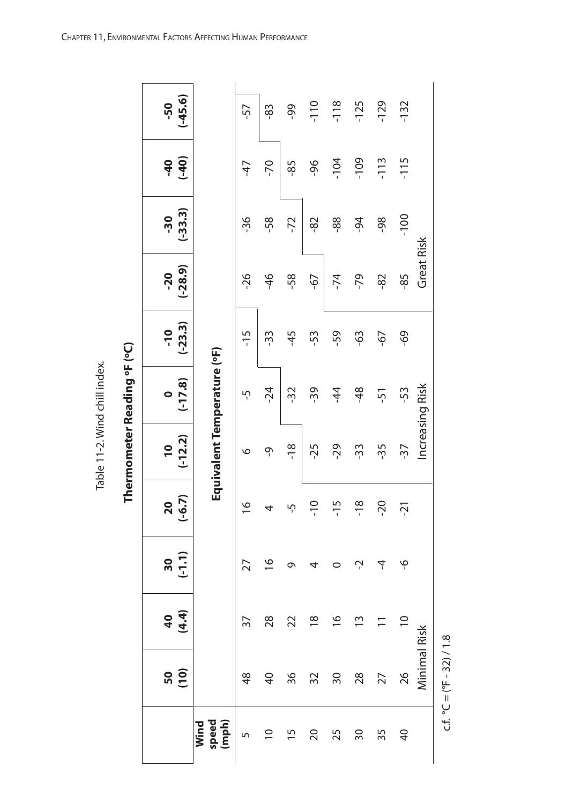| ؚ<br>ž |
|--------|
|        |
|        |
|        |
|        |
|        |
|        |
|        |
| i      |
|        |
|        |
|        |
|        |
| ĵ      |
|        |

| ۱<br>ı<br>۱                        |  |
|------------------------------------|--|
| ਟ<br>í<br>$\overline{a}$<br>I<br>٠ |  |
|                                    |  |
|                                    |  |
| i                                  |  |

|                        | 50<br>10)       | $49$<br>$49$   | (1, 1)<br>$\overline{\mathbf{50}}$ | $(-6.7)$<br>$\overline{20}$ | $(-12.2)$<br>$\overline{\phantom{0}}$ | $(-17.8)$<br>$\bullet$ | $(-23.3)$<br>$-10$ | $(-28.9)$<br>$-20$   | $(-33.3)$<br>$-30$ | $(-40)$<br>$-40$ | $(-45.6)$<br>-50 |
|------------------------|-----------------|----------------|------------------------------------|-----------------------------|---------------------------------------|------------------------|--------------------|----------------------|--------------------|------------------|------------------|
| speed<br>(mph)<br>Wind |                 |                |                                    |                             | Equivalent Temperature (°F)           |                        |                    |                      |                    |                  |                  |
| 5                      | 48              | 57             | 27                                 | $\frac{1}{2}$               | O                                     | ၯ                      | $-15$              | -26                  | -36                | -47              | -57              |
| $\overline{0}$         | 9               | 28             | $\frac{6}{1}$                      | 4                           | ৽                                     | $-24$                  | -33                | $\frac{6}{1}$        | -58                | $-70$            | 83               |
| $\overline{1}$         | 36              | 22             | ᡡ                                  | ּף                          | $-18$                                 | -32                    | $-45$              | -58                  | -72                | $-85$            | 99               |
| 20                     | 32              | $\frac{8}{10}$ | 4                                  | $\frac{0}{1}$               | $-25$                                 | -39                    | -53                | $\overline{\varphi}$ | -82                | 96               | $-110$           |
| 25                     | $\overline{50}$ | $\frac{6}{1}$  | 0                                  | $-15$                       | $-29$                                 | $\overline{4}$         | -59                | $-74$                | $-88-$             | $-104$           | $-118$           |
| 30                     | 28              | $\tilde{1}$    | Ļ                                  | $-18$                       | -33                                   | $\frac{8}{3}$          | \$9                | -79                  | $-94$              | $-109$           | $-125$           |
| 35                     | 27              |                | 4                                  | $-20$                       | -35                                   | -51                    | $\sqrt{9}$         | -82                  | -98                | $-113$           | $-129$           |
| $\overline{a}$         | 26              | $\Xi$          | ٩                                  | $-21$                       | $-37$                                 | -53                    | 69                 | -85                  | $-100$             | $-115$           | $-132$           |
|                        | Minimal Risk    |                |                                    |                             |                                       | Increasing Risk        |                    | Great Risk           |                    |                  |                  |

c.f.  $°C = ({}^{e}F - 32)/1.8$ c.f.  $^{\circ}$ C = ( $^{\circ}$ F - 32) / 1.8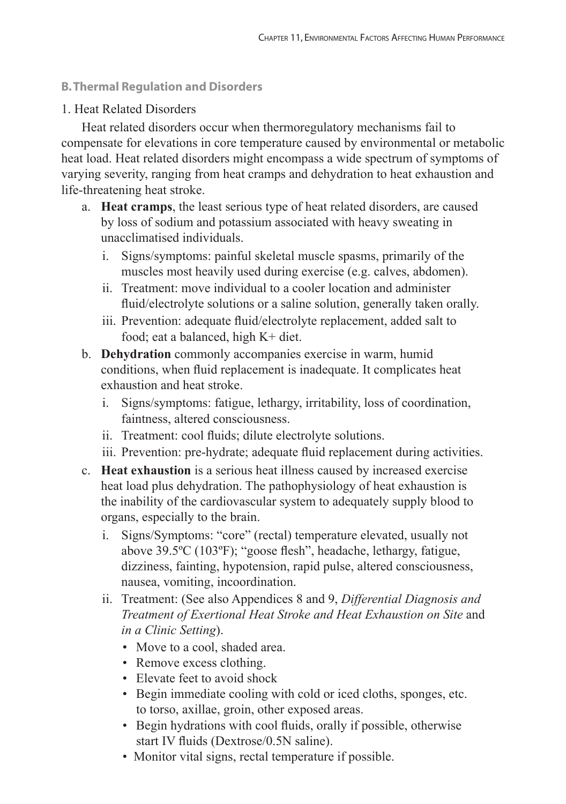## **B. Thermal Regulation and Disorders**

## 1. Heat Related Disorders

Heat related disorders occur when thermoregulatory mechanisms fail to compensate for elevations in core temperature caused by environmental or metabolic heat load. Heat related disorders might encompass a wide spectrum of symptoms of varying severity, ranging from heat cramps and dehydration to heat exhaustion and life-threatening heat stroke.

- a. **Heat cramps**, the least serious type of heat related disorders, are caused by loss of sodium and potassium associated with heavy sweating in unacclimatised individuals.
	- i. Signs/symptoms: painful skeletal muscle spasms, primarily of the muscles most heavily used during exercise (e.g. calves, abdomen).
	- ii. Treatment: move individual to a cooler location and administer fluid/electrolyte solutions or a saline solution, generally taken orally.
	- iii. Prevention: adequate fluid/electrolyte replacement, added salt to food; eat a balanced, high K+ diet.
- b. **Dehydration** commonly accompanies exercise in warm, humid conditions, when fluid replacement is inadequate. It complicates heat exhaustion and heat stroke.
	- i. Signs/symptoms: fatigue, lethargy, irritability, loss of coordination, faintness, altered consciousness.
	- ii. Treatment: cool fluids; dilute electrolyte solutions.
	- iii. Prevention: pre-hydrate; adequate fluid replacement during activities.
- c. **Heat exhaustion** is a serious heat illness caused by increased exercise heat load plus dehydration. The pathophysiology of heat exhaustion is the inability of the cardiovascular system to adequately supply blood to organs, especially to the brain.
	- i. Signs/Symptoms: "core" (rectal) temperature elevated, usually not above 39.5ºC (103ºF); "goose flesh", headache, lethargy, fatigue, dizziness, fainting, hypotension, rapid pulse, altered consciousness, nausea, vomiting, incoordination.
	- ii. Treatment: (See also Appendices 8 and 9, *Differential Diagnosis and Treatment of Exertional Heat Stroke and Heat Exhaustion on Site* and *in a Clinic Setting*).
		- Move to a cool, shaded area.
		- Remove excess clothing.
		- Elevate feet to avoid shock
		- Begin immediate cooling with cold or iced cloths, sponges, etc. to torso, axillae, groin, other exposed areas.
		- Begin hydrations with cool fluids, orally if possible, otherwise start IV fluids (Dextrose/0.5N saline).
		- Monitor vital signs, rectal temperature if possible.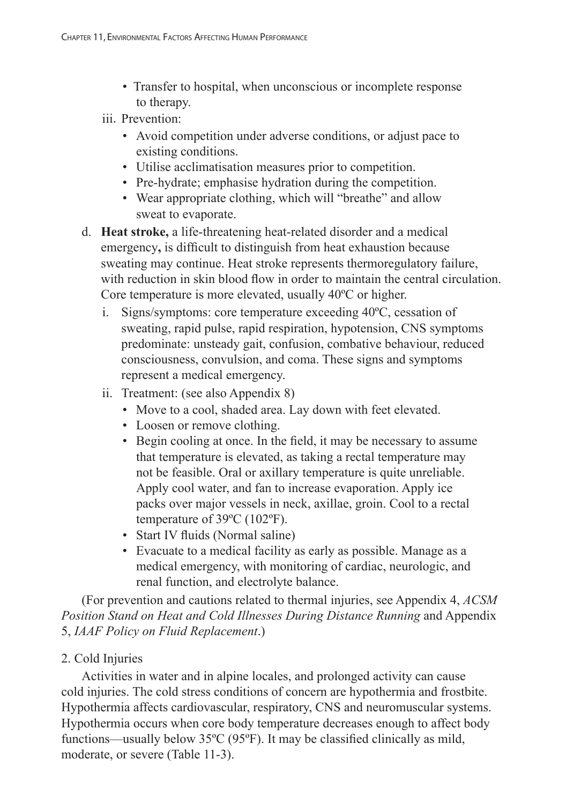• Transfer to hospital, when unconscious or incomplete response to therapy.

# iii. Prevention:

- Avoid competition under adverse conditions, or adjust pace to existing conditions.
- Utilise acclimatisation measures prior to competition.
- Pre-hydrate; emphasise hydration during the competition.
- Wear appropriate clothing, which will "breathe" and allow sweat to evaporate.
- d. **Heat stroke,** a life-threatening heat-related disorder and a medical emergency**,** is difficult to distinguish from heat exhaustion because sweating may continue. Heat stroke represents thermoregulatory failure, with reduction in skin blood flow in order to maintain the central circulation. Core temperature is more elevated, usually 40ºC or higher.
	- i. Signs/symptoms: core temperature exceeding 40ºC, cessation of sweating, rapid pulse, rapid respiration, hypotension, CNS symptoms predominate: unsteady gait, confusion, combative behaviour, reduced consciousness, convulsion, and coma. These signs and symptoms represent a medical emergency.
	- ii. Treatment: (see also Appendix 8)
		- Move to a cool, shaded area. Lay down with feet elevated.
		- Loosen or remove clothing.
		- Begin cooling at once. In the field, it may be necessary to assume that temperature is elevated, as taking a rectal temperature may not be feasible. Oral or axillary temperature is quite unreliable. Apply cool water, and fan to increase evaporation. Apply ice packs over major vessels in neck, axillae, groin. Cool to a rectal temperature of 39ºC (102ºF).
		- Start IV fluids (Normal saline)
		- Evacuate to a medical facility as early as possible. Manage as a medical emergency, with monitoring of cardiac, neurologic, and renal function, and electrolyte balance.

(For prevention and cautions related to thermal injuries, see Appendix 4, *ACSM Position Stand on Heat and Cold Illnesses During Distance Running* and Appendix 5, *IAAF Policy on Fluid Replacement*.)

# 2. Cold Injuries

Activities in water and in alpine locales, and prolonged activity can cause cold injuries. The cold stress conditions of concern are hypothermia and frostbite. Hypothermia affects cardiovascular, respiratory, CNS and neuromuscular systems. Hypothermia occurs when core body temperature decreases enough to affect body functions—usually below 35ºC (95ºF). It may be classified clinically as mild, moderate, or severe (Table 11-3).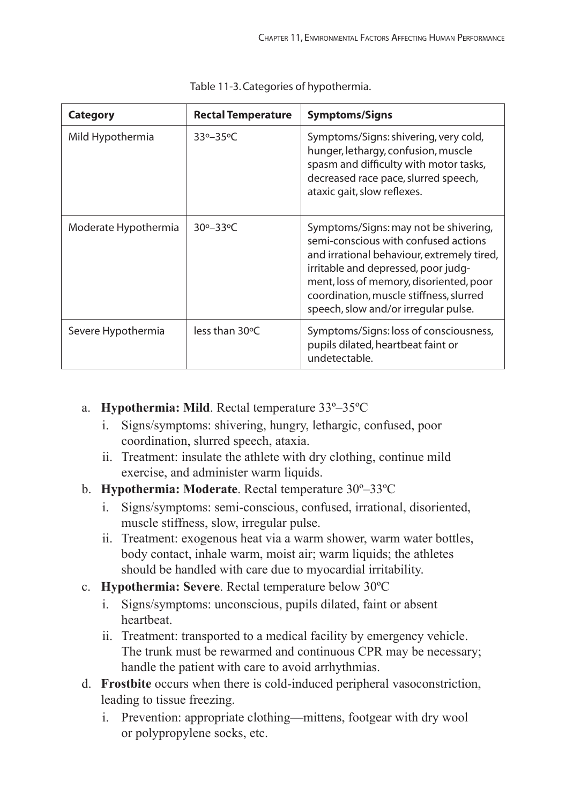| <b>Category</b>      | <b>Rectal Temperature</b>   | <b>Symptoms/Signs</b>                                                                                                                                                                                                                                                                            |
|----------------------|-----------------------------|--------------------------------------------------------------------------------------------------------------------------------------------------------------------------------------------------------------------------------------------------------------------------------------------------|
| Mild Hypothermia     | $33^o - 35^oC$              | Symptoms/Signs: shivering, very cold,<br>hunger, lethargy, confusion, muscle<br>spasm and difficulty with motor tasks,<br>decreased race pace, slurred speech,<br>ataxic gait, slow reflexes.                                                                                                    |
| Moderate Hypothermia | $30^{\circ} - 33^{\circ}$ C | Symptoms/Signs: may not be shivering,<br>semi-conscious with confused actions<br>and irrational behaviour, extremely tired,<br>irritable and depressed, poor judg-<br>ment, loss of memory, disoriented, poor<br>coordination, muscle stiffness, slurred<br>speech, slow and/or irregular pulse. |
| Severe Hypothermia   | less than 30°C              | Symptoms/Signs: loss of consciousness,<br>pupils dilated, heartbeat faint or<br>undetectable.                                                                                                                                                                                                    |

Table 11-3. Categories of hypothermia.

- a. **Hypothermia: Mild**. Rectal temperature 33º–35ºC
	- i. Signs/symptoms: shivering, hungry, lethargic, confused, poor coordination, slurred speech, ataxia.
	- ii. Treatment: insulate the athlete with dry clothing, continue mild exercise, and administer warm liquids.
- b. **Hypothermia: Moderate**. Rectal temperature 30º–33ºC
	- i. Signs/symptoms: semi-conscious, confused, irrational, disoriented, muscle stiffness, slow, irregular pulse.
	- ii. Treatment: exogenous heat via a warm shower, warm water bottles, body contact, inhale warm, moist air; warm liquids; the athletes should be handled with care due to myocardial irritability.
- c. **Hypothermia: Severe**. Rectal temperature below 30ºC
	- i. Signs/symptoms: unconscious, pupils dilated, faint or absent heartbeat.
	- ii. Treatment: transported to a medical facility by emergency vehicle. The trunk must be rewarmed and continuous CPR may be necessary; handle the patient with care to avoid arrhythmias.
- d. **Frostbite** occurs when there is cold-induced peripheral vasoconstriction, leading to tissue freezing.
	- i. Prevention: appropriate clothing—mittens, footgear with dry wool or polypropylene socks, etc.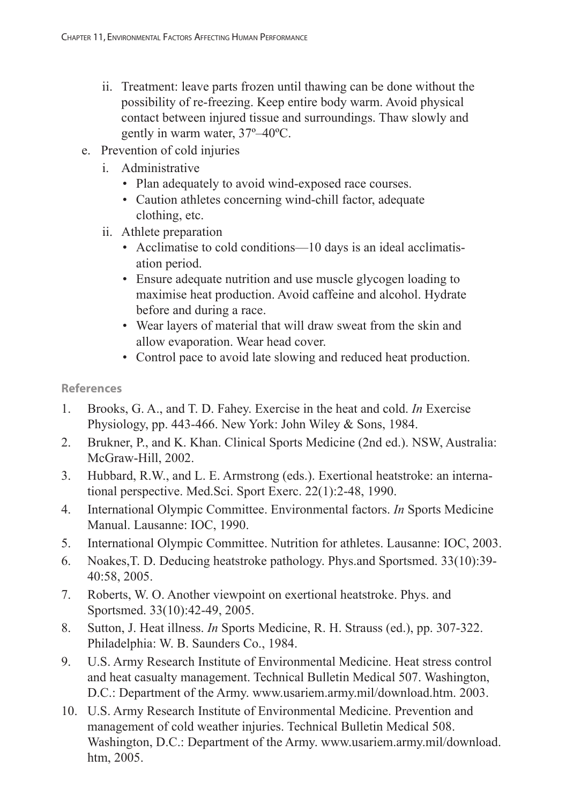- ii. Treatment: leave parts frozen until thawing can be done without the possibility of re-freezing. Keep entire body warm. Avoid physical contact between injured tissue and surroundings. Thaw slowly and gently in warm water, 37º–40ºC.
- e. Prevention of cold injuries
	- i. Administrative
		- Plan adequately to avoid wind-exposed race courses.
		- Caution athletes concerning wind-chill factor, adequate clothing, etc.
	- ii. Athlete preparation
		- Acclimatise to cold conditions—10 days is an ideal acclimatisation period.
		- Ensure adequate nutrition and use muscle glycogen loading to maximise heat production. Avoid caffeine and alcohol. Hydrate before and during a race.
		- Wear layers of material that will draw sweat from the skin and allow evaporation. Wear head cover.
		- Control pace to avoid late slowing and reduced heat production.

- 1. Brooks, G. A., and T. D. Fahey. Exercise in the heat and cold. *In* Exercise Physiology, pp. 443-466. New York: John Wiley & Sons, 1984.
- 2. Brukner, P., and K. Khan. Clinical Sports Medicine (2nd ed.). NSW, Australia: McGraw-Hill, 2002.
- 3. Hubbard, R.W., and L. E. Armstrong (eds.). Exertional heatstroke: an international perspective. Med.Sci. Sport Exerc. 22(1):2-48, 1990.
- 4. International Olympic Committee. Environmental factors. *In* Sports Medicine Manual. Lausanne: IOC, 1990.
- 5. International Olympic Committee. Nutrition for athletes. Lausanne: IOC, 2003.
- 6. Noakes,T. D. Deducing heatstroke pathology. Phys.and Sportsmed. 33(10):39- 40:58, 2005.
- 7. Roberts, W. O. Another viewpoint on exertional heatstroke. Phys. and Sportsmed. 33(10):42-49, 2005.
- 8. Sutton, J. Heat illness. *In* Sports Medicine, R. H. Strauss (ed.), pp. 307-322. Philadelphia: W. B. Saunders Co., 1984.
- 9. U.S. Army Research Institute of Environmental Medicine. Heat stress control and heat casualty management. Technical Bulletin Medical 507. Washington, D.C.: Department of the Army. www.usariem.army.mil/download.htm. 2003.
- 10. U.S. Army Research Institute of Environmental Medicine. Prevention and management of cold weather injuries. Technical Bulletin Medical 508. Washington, D.C.: Department of the Army. www.usariem.army.mil/download. htm, 2005.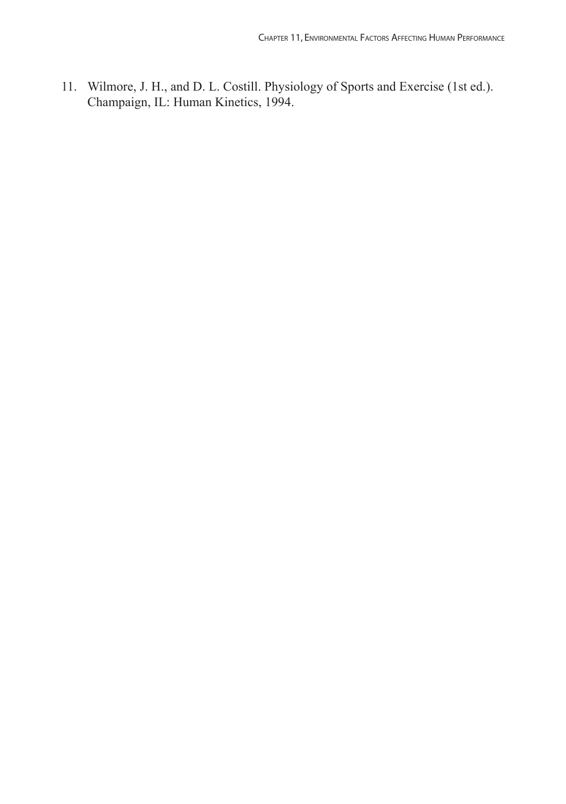11. Wilmore, J. H., and D. L. Costill. Physiology of Sports and Exercise (1st ed.). Champaign, IL: Human Kinetics, 1994.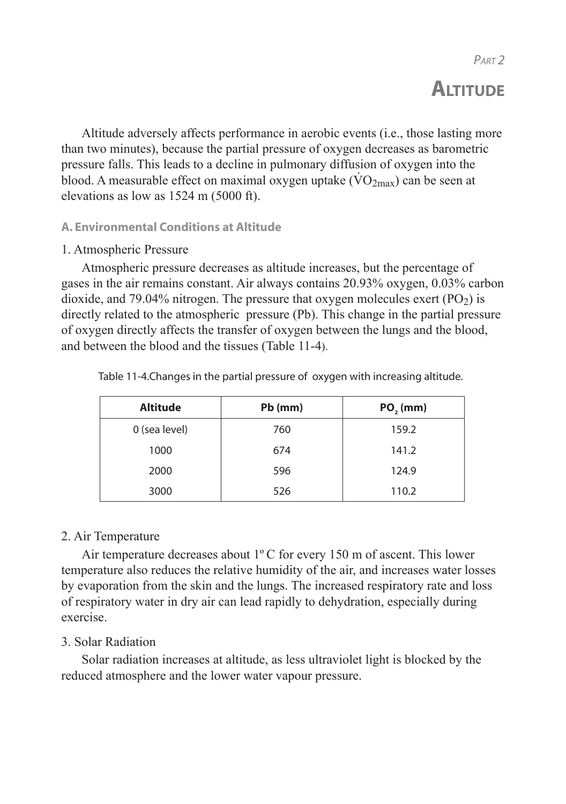# **ALTITUDE**

Altitude adversely affects performance in aerobic events (i.e., those lasting more than two minutes), because the partial pressure of oxygen decreases as barometric pressure falls. This leads to a decline in pulmonary diffusion of oxygen into the blood. A measurable effect on maximal oxygen uptake  $(\rm{VO2}_{max})$  can be seen at elevations as low as 1524 m (5000 ft).

# **A. Environmental Conditions at Altitude**

## 1. Atmospheric Pressure

Atmospheric pressure decreases as altitude increases, but the percentage of gases in the air remains constant. Air always contains 20.93% oxygen, 0.03% carbon dioxide, and 79.04% nitrogen. The pressure that oxygen molecules exert  $(PO<sub>2</sub>)$  is directly related to the atmospheric pressure (Pb). This change in the partial pressure of oxygen directly affects the transfer of oxygen between the lungs and the blood, and between the blood and the tissues (Table 11-4).

| <b>Altitude</b> | $Pb$ (mm) | PO, (mm) |
|-----------------|-----------|----------|
| 0 (sea level)   | 760       | 159.2    |
| 1000            | 674       | 141.2    |
| 2000            | 596       | 124.9    |
| 3000            | 526       | 110.2    |

Table 11-4.Changes in the partial pressure of oxygen with increasing altitude.

# 2. Air Temperature

Air temperature decreases about  $1^{\circ}$ C for every 150 m of ascent. This lower temperature also reduces the relative humidity of the air, and increases water losses by evaporation from the skin and the lungs. The increased respiratory rate and loss of respiratory water in dry air can lead rapidly to dehydration, especially during exercise.

# 3. Solar Radiation

Solar radiation increases at altitude, as less ultraviolet light is blocked by the reduced atmosphere and the lower water vapour pressure.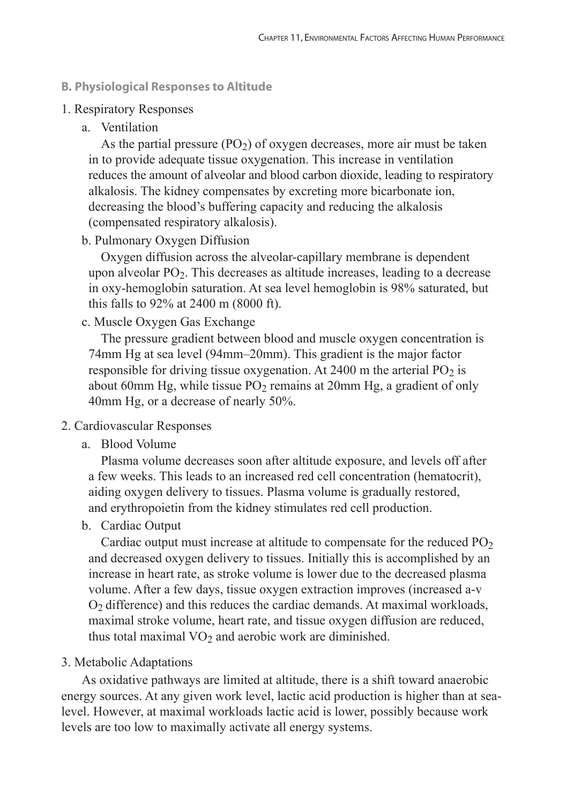#### **B. Physiological Responses to Altitude**

#### 1. Respiratory Responses

a. Ventilation

As the partial pressure  $(PO<sub>2</sub>)$  of oxygen decreases, more air must be taken in to provide adequate tissue oxygenation. This increase in ventilation reduces the amount of alveolar and blood carbon dioxide, leading to respiratory alkalosis. The kidney compensates by excreting more bicarbonate ion, decreasing the blood's buffering capacity and reducing the alkalosis (compensated respiratory alkalosis).

#### b. Pulmonary Oxygen Diffusion

 Oxygen diffusion across the alveolar-capillary membrane is dependent upon alveolar  $PO<sub>2</sub>$ . This decreases as altitude increases, leading to a decrease in oxy-hemoglobin saturation. At sea level hemoglobin is 98% saturated, but this falls to 92% at 2400 m (8000 ft).

c. Muscle Oxygen Gas Exchange

 The pressure gradient between blood and muscle oxygen concentration is 74mm Hg at sea level (94mm–20mm). This gradient is the major factor responsible for driving tissue oxygenation. At  $2400$  m the arterial PO<sub>2</sub> is about 60mm Hg, while tissue  $PO<sub>2</sub>$  remains at 20mm Hg, a gradient of only 40mm Hg, or a decrease of nearly 50%.

#### 2. Cardiovascular Responses

a. Blood Volume

 Plasma volume decreases soon after altitude exposure, and levels off after a few weeks. This leads to an increased red cell concentration (hematocrit), aiding oxygen delivery to tissues. Plasma volume is gradually restored, and erythropoietin from the kidney stimulates red cell production.

b. Cardiac Output

Cardiac output must increase at altitude to compensate for the reduced  $PO<sub>2</sub>$  and decreased oxygen delivery to tissues. Initially this is accomplished by an increase in heart rate, as stroke volume is lower due to the decreased plasma volume. After a few days, tissue oxygen extraction improves (increased a-v  $O<sub>2</sub>$  difference) and this reduces the cardiac demands. At maximal workloads, maximal stroke volume, heart rate, and tissue oxygen diffusion are reduced, thus total maximal  $VO<sub>2</sub>$  and aerobic work are diminished.

#### 3. Metabolic Adaptations

As oxidative pathways are limited at altitude, there is a shift toward anaerobic energy sources. At any given work level, lactic acid production is higher than at sealevel. However, at maximal workloads lactic acid is lower, possibly because work levels are too low to maximally activate all energy systems.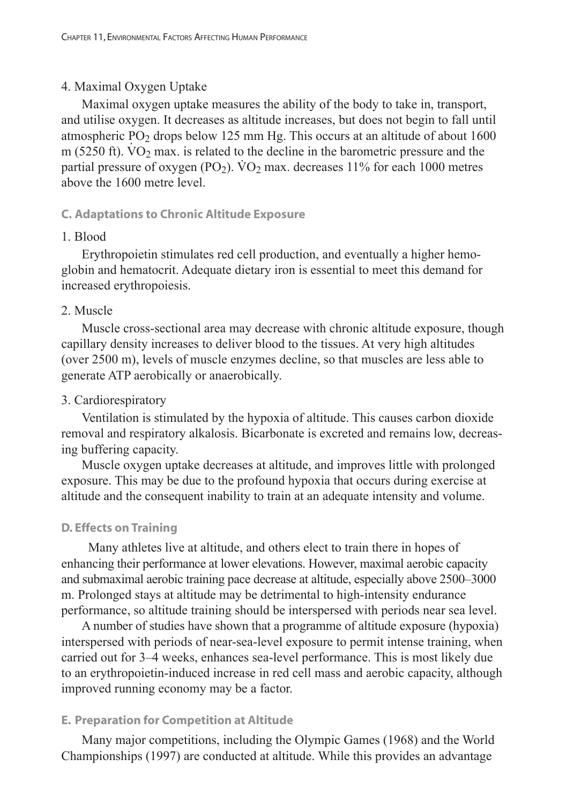#### 4. Maximal Oxygen Uptake

Maximal oxygen uptake measures the ability of the body to take in, transport, and utilise oxygen. It decreases as altitude increases, but does not begin to fall until atmospheric  $PO_2$  drops below 125 mm Hg. This occurs at an altitude of about 1600 m (5250 ft).  $VO<sub>2</sub>$  max. is related to the decline in the barometric pressure and the partial pressure of oxygen (PO<sub>2</sub>).  $\rm \dot{V}O_2$  max. decreases 11% for each 1000 metres above the 1600 metre level.

#### **C. Adaptations to Chronic Altitude Exposure**

#### 1. Blood

Erythropoietin stimulates red cell production, and eventually a higher hemoglobin and hematocrit. Adequate dietary iron is essential to meet this demand for increased erythropoiesis.

## 2. Muscle

Muscle cross-sectional area may decrease with chronic altitude exposure, though capillary density increases to deliver blood to the tissues. At very high altitudes (over 2500 m), levels of muscle enzymes decline, so that muscles are less able to generate ATP aerobically or anaerobically.

#### 3. Cardiorespiratory

Ventilation is stimulated by the hypoxia of altitude. This causes carbon dioxide removal and respiratory alkalosis. Bicarbonate is excreted and remains low, decreasing buffering capacity.

Muscle oxygen uptake decreases at altitude, and improves little with prolonged exposure. This may be due to the profound hypoxia that occurs during exercise at altitude and the consequent inability to train at an adequate intensity and volume.

## **D. Effects on Training**

 Many athletes live at altitude, and others elect to train there in hopes of enhancing their performance at lower elevations. However, maximal aerobic capacity and submaximal aerobic training pace decrease at altitude, especially above 2500–3000 m. Prolonged stays at altitude may be detrimental to high-intensity endurance performance, so altitude training should be interspersed with periods near sea level.

A number of studies have shown that a programme of altitude exposure (hypoxia) interspersed with periods of near-sea-level exposure to permit intense training, when carried out for 3–4 weeks, enhances sea-level performance. This is most likely due to an erythropoietin-induced increase in red cell mass and aerobic capacity, although improved running economy may be a factor.

#### **E. Preparation for Competition at Altitude**

Many major competitions, including the Olympic Games (1968) and the World Championships (1997) are conducted at altitude. While this provides an advantage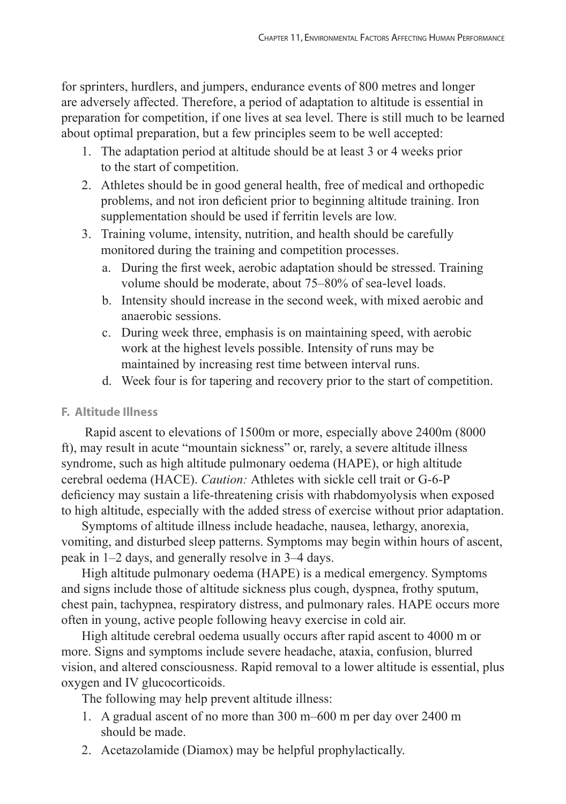for sprinters, hurdlers, and jumpers, endurance events of 800 metres and longer are adversely affected. Therefore, a period of adaptation to altitude is essential in preparation for competition, if one lives at sea level. There is still much to be learned about optimal preparation, but a few principles seem to be well accepted:

- 1. The adaptation period at altitude should be at least 3 or 4 weeks prior to the start of competition.
- 2. Athletes should be in good general health, free of medical and orthopedic problems, and not iron deficient prior to beginning altitude training. Iron supplementation should be used if ferritin levels are low.
- 3. Training volume, intensity, nutrition, and health should be carefully monitored during the training and competition processes.
	- a. During the first week, aerobic adaptation should be stressed. Training volume should be moderate, about 75–80% of sea-level loads.
	- b. Intensity should increase in the second week, with mixed aerobic and anaerobic sessions.
	- c. During week three, emphasis is on maintaining speed, with aerobic work at the highest levels possible. Intensity of runs may be maintained by increasing rest time between interval runs.
	- d. Week four is for tapering and recovery prior to the start of competition.

# **F. Altitude Illness**

 Rapid ascent to elevations of 1500m or more, especially above 2400m (8000 ft), may result in acute "mountain sickness" or, rarely, a severe altitude illness syndrome, such as high altitude pulmonary oedema (HAPE), or high altitude cerebral oedema (HACE). *Caution:* Athletes with sickle cell trait or G-6-P deficiency may sustain a life-threatening crisis with rhabdomyolysis when exposed to high altitude, especially with the added stress of exercise without prior adaptation.

Symptoms of altitude illness include headache, nausea, lethargy, anorexia, vomiting, and disturbed sleep patterns. Symptoms may begin within hours of ascent, peak in 1–2 days, and generally resolve in 3–4 days.

High altitude pulmonary oedema (HAPE) is a medical emergency. Symptoms and signs include those of altitude sickness plus cough, dyspnea, frothy sputum, chest pain, tachypnea, respiratory distress, and pulmonary rales. HAPE occurs more often in young, active people following heavy exercise in cold air.

High altitude cerebral oedema usually occurs after rapid ascent to 4000 m or more. Signs and symptoms include severe headache, ataxia, confusion, blurred vision, and altered consciousness. Rapid removal to a lower altitude is essential, plus oxygen and IV glucocorticoids.

The following may help prevent altitude illness:

- 1. A gradual ascent of no more than 300 m–600 m per day over 2400 m should be made.
- 2. Acetazolamide (Diamox) may be helpful prophylactically.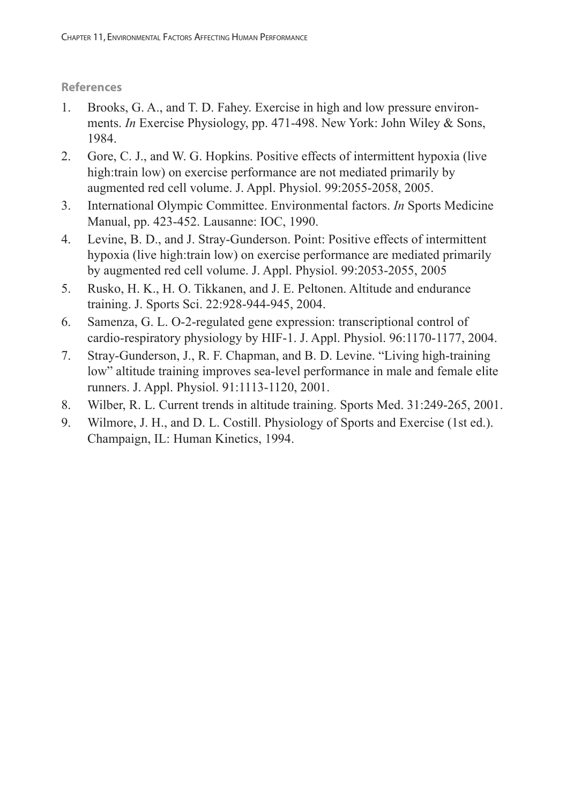- 1. Brooks, G. A., and T. D. Fahey. Exercise in high and low pressure environments. *In* Exercise Physiology, pp. 471-498. New York: John Wiley & Sons, 1984.
- 2. Gore, C. J., and W. G. Hopkins. Positive effects of intermittent hypoxia (live high:train low) on exercise performance are not mediated primarily by augmented red cell volume. J. Appl. Physiol. 99:2055-2058, 2005.
- 3. International Olympic Committee. Environmental factors. *In* Sports Medicine Manual, pp. 423-452. Lausanne: IOC, 1990.
- 4. Levine, B. D., and J. Stray-Gunderson. Point: Positive effects of intermittent hypoxia (live high:train low) on exercise performance are mediated primarily by augmented red cell volume. J. Appl. Physiol. 99:2053-2055, 2005
- 5. Rusko, H. K., H. O. Tikkanen, and J. E. Peltonen. Altitude and endurance training. J. Sports Sci. 22:928-944-945, 2004.
- 6. Samenza, G. L. O-2-regulated gene expression: transcriptional control of cardio-respiratory physiology by HIF-1. J. Appl. Physiol. 96:1170-1177, 2004.
- 7. Stray-Gunderson, J., R. F. Chapman, and B. D. Levine. "Living high-training low" altitude training improves sea-level performance in male and female elite runners. J. Appl. Physiol. 91:1113-1120, 2001.
- 8. Wilber, R. L. Current trends in altitude training. Sports Med. 31:249-265, 2001.
- 9. Wilmore, J. H., and D. L. Costill. Physiology of Sports and Exercise (1st ed.). Champaign, IL: Human Kinetics, 1994.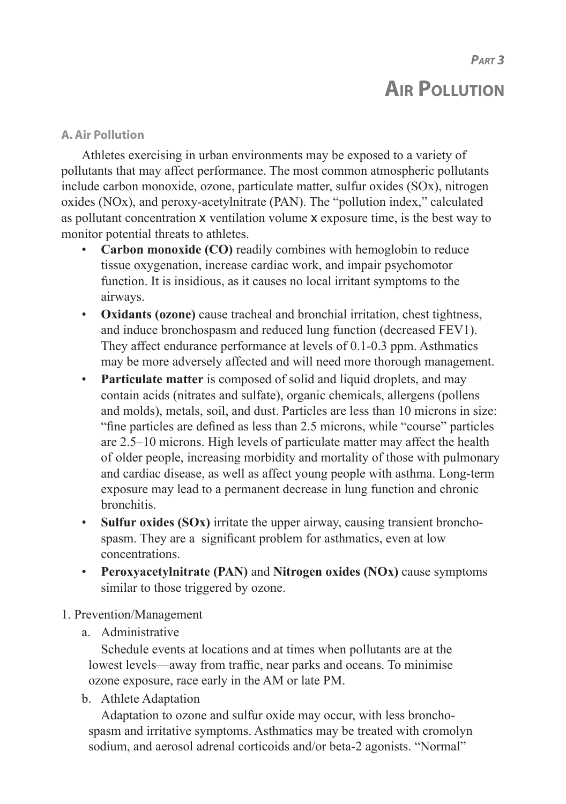*PART 3*

# **AIR POLLUTION**

## **A. Air Pollution**

Athletes exercising in urban environments may be exposed to a variety of pollutants that may affect performance. The most common atmospheric pollutants include carbon monoxide, ozone, particulate matter, sulfur oxides (SOx), nitrogen oxides (NOx), and peroxy-acetylnitrate (PAN). The "pollution index," calculated as pollutant concentration x ventilation volume x exposure time, is the best way to monitor potential threats to athletes.

- **Carbon monoxide (CO)** readily combines with hemoglobin to reduce tissue oxygenation, increase cardiac work, and impair psychomotor function. It is insidious, as it causes no local irritant symptoms to the airways.
- **Oxidants (ozone)** cause tracheal and bronchial irritation, chest tightness, and induce bronchospasm and reduced lung function (decreased FEV1). They affect endurance performance at levels of 0.1-0.3 ppm. Asthmatics may be more adversely affected and will need more thorough management.
- **Particulate matter** is composed of solid and liquid droplets, and may contain acids (nitrates and sulfate), organic chemicals, allergens (pollens and molds), metals, soil, and dust. Particles are less than 10 microns in size: "fine particles are defined as less than 2.5 microns, while "course" particles are 2.5–10 microns. High levels of particulate matter may affect the health of older people, increasing morbidity and mortality of those with pulmonary and cardiac disease, as well as affect young people with asthma. Long-term exposure may lead to a permanent decrease in lung function and chronic bronchitis.
- **Sulfur oxides (SOx)** irritate the upper airway, causing transient broncho spasm. They are a significant problem for asthmatics, even at low concentrations.
- **Peroxyacetylnitrate (PAN)** and **Nitrogen oxides (NOx)** cause symptoms similar to those triggered by ozone.

# 1. Prevention/Management

# a. Administrative

 Schedule events at locations and at times when pollutants are at the lowest levels—away from traffic, near parks and oceans. To minimise ozone exposure, race early in the AM or late PM.

b. Athlete Adaptation

 Adaptation to ozone and sulfur oxide may occur, with less broncho spasm and irritative symptoms. Asthmatics may be treated with cromolyn sodium, and aerosol adrenal corticoids and/or beta-2 agonists. "Normal"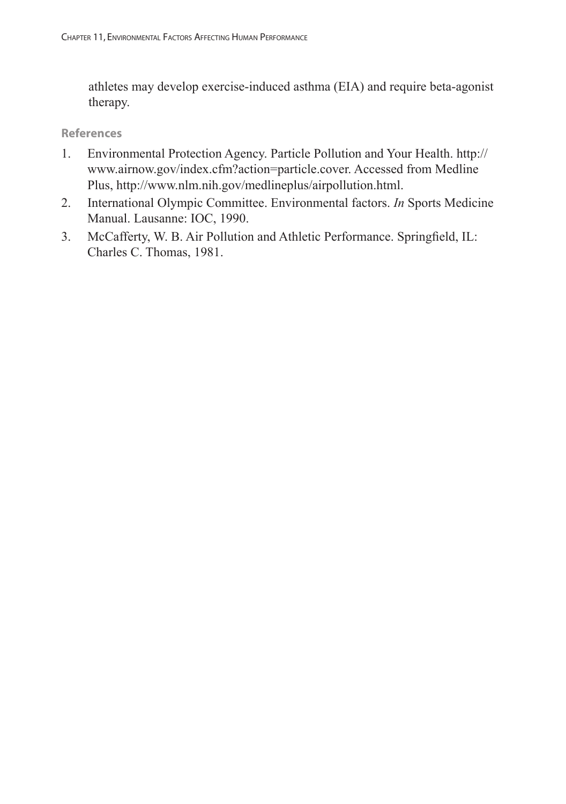athletes may develop exercise-induced asthma (EIA) and require beta-agonist therapy.

- 1. Environmental Protection Agency. Particle Pollution and Your Health. http:// www.airnow.gov/index.cfm?action=particle.cover. Accessed from Medline Plus, http://www.nlm.nih.gov/medlineplus/airpollution.html.
- 2. International Olympic Committee. Environmental factors. *In* Sports Medicine Manual. Lausanne: IOC, 1990.
- 3. McCafferty, W. B. Air Pollution and Athletic Performance. Springfield, IL: Charles C. Thomas, 1981.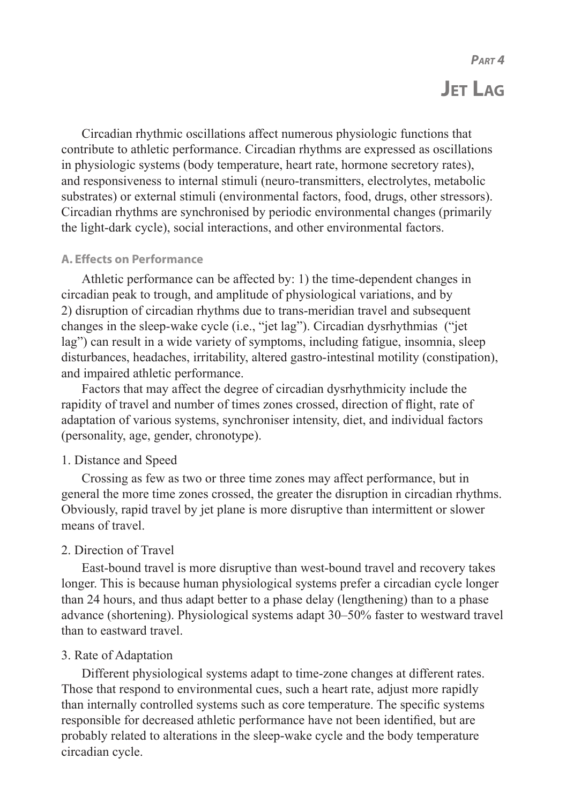# *PART 4* **JET LAG**

Circadian rhythmic oscillations affect numerous physiologic functions that contribute to athletic performance. Circadian rhythms are expressed as oscillations in physiologic systems (body temperature, heart rate, hormone secretory rates), and responsiveness to internal stimuli (neuro-transmitters, electrolytes, metabolic substrates) or external stimuli (environmental factors, food, drugs, other stressors). Circadian rhythms are synchronised by periodic environmental changes (primarily the light-dark cycle), social interactions, and other environmental factors.

#### **A. Effects on Performance**

Athletic performance can be affected by: 1) the time-dependent changes in circadian peak to trough, and amplitude of physiological variations, and by 2) disruption of circadian rhythms due to trans-meridian travel and subsequent changes in the sleep-wake cycle (i.e., "jet lag"). Circadian dysrhythmias ("jet lag") can result in a wide variety of symptoms, including fatigue, insomnia, sleep disturbances, headaches, irritability, altered gastro-intestinal motility (constipation), and impaired athletic performance.

Factors that may affect the degree of circadian dysrhythmicity include the rapidity of travel and number of times zones crossed, direction of flight, rate of adaptation of various systems, synchroniser intensity, diet, and individual factors (personality, age, gender, chronotype).

#### 1. Distance and Speed

Crossing as few as two or three time zones may affect performance, but in general the more time zones crossed, the greater the disruption in circadian rhythms. Obviously, rapid travel by jet plane is more disruptive than intermittent or slower means of travel.

## 2. Direction of Travel

East-bound travel is more disruptive than west-bound travel and recovery takes longer. This is because human physiological systems prefer a circadian cycle longer than 24 hours, and thus adapt better to a phase delay (lengthening) than to a phase advance (shortening). Physiological systems adapt 30–50% faster to westward travel than to eastward travel.

## 3. Rate of Adaptation

Different physiological systems adapt to time-zone changes at different rates. Those that respond to environmental cues, such a heart rate, adjust more rapidly than internally controlled systems such as core temperature. The specific systems responsible for decreased athletic performance have not been identified, but are probably related to alterations in the sleep-wake cycle and the body temperature circadian cycle.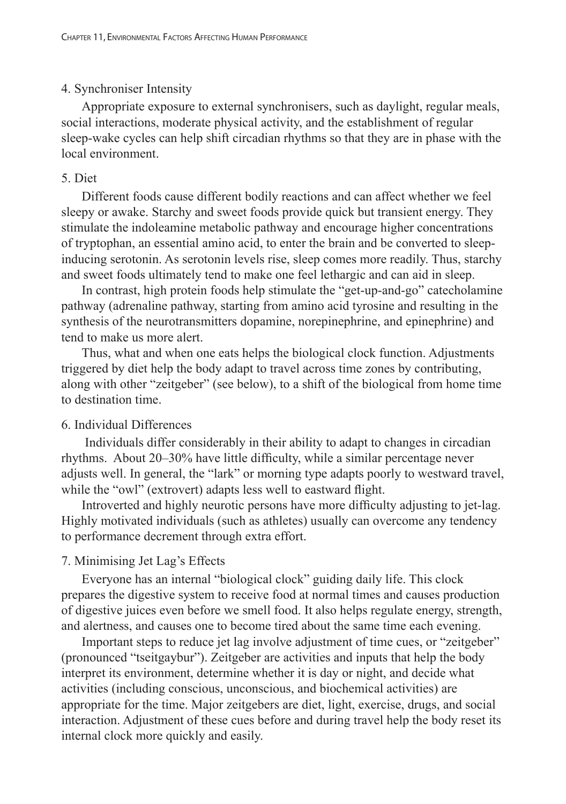## 4. Synchroniser Intensity

Appropriate exposure to external synchronisers, such as daylight, regular meals, social interactions, moderate physical activity, and the establishment of regular sleep-wake cycles can help shift circadian rhythms so that they are in phase with the local environment.

## 5. Diet

Different foods cause different bodily reactions and can affect whether we feel sleepy or awake. Starchy and sweet foods provide quick but transient energy. They stimulate the indoleamine metabolic pathway and encourage higher concentrations of tryptophan, an essential amino acid, to enter the brain and be converted to sleepinducing serotonin. As serotonin levels rise, sleep comes more readily. Thus, starchy and sweet foods ultimately tend to make one feel lethargic and can aid in sleep.

In contrast, high protein foods help stimulate the "get-up-and-go" catecholamine pathway (adrenaline pathway, starting from amino acid tyrosine and resulting in the synthesis of the neurotransmitters dopamine, norepinephrine, and epinephrine) and tend to make us more alert.

Thus, what and when one eats helps the biological clock function. Adjustments triggered by diet help the body adapt to travel across time zones by contributing, along with other "zeitgeber" (see below), to a shift of the biological from home time to destination time.

# 6. Individual Differences

 Individuals differ considerably in their ability to adapt to changes in circadian rhythms. About 20–30% have little difficulty, while a similar percentage never adjusts well. In general, the "lark" or morning type adapts poorly to westward travel, while the "owl" (extrovert) adapts less well to eastward flight.

Introverted and highly neurotic persons have more difficulty adjusting to jet-lag. Highly motivated individuals (such as athletes) usually can overcome any tendency to performance decrement through extra effort.

# 7. Minimising Jet Lag's Effects

Everyone has an internal "biological clock" guiding daily life. This clock prepares the digestive system to receive food at normal times and causes production of digestive juices even before we smell food. It also helps regulate energy, strength, and alertness, and causes one to become tired about the same time each evening.

Important steps to reduce jet lag involve adjustment of time cues, or "zeitgeber" (pronounced "tseitgaybur"). Zeitgeber are activities and inputs that help the body interpret its environment, determine whether it is day or night, and decide what activities (including conscious, unconscious, and biochemical activities) are appropriate for the time. Major zeitgebers are diet, light, exercise, drugs, and social interaction. Adjustment of these cues before and during travel help the body reset its internal clock more quickly and easily.